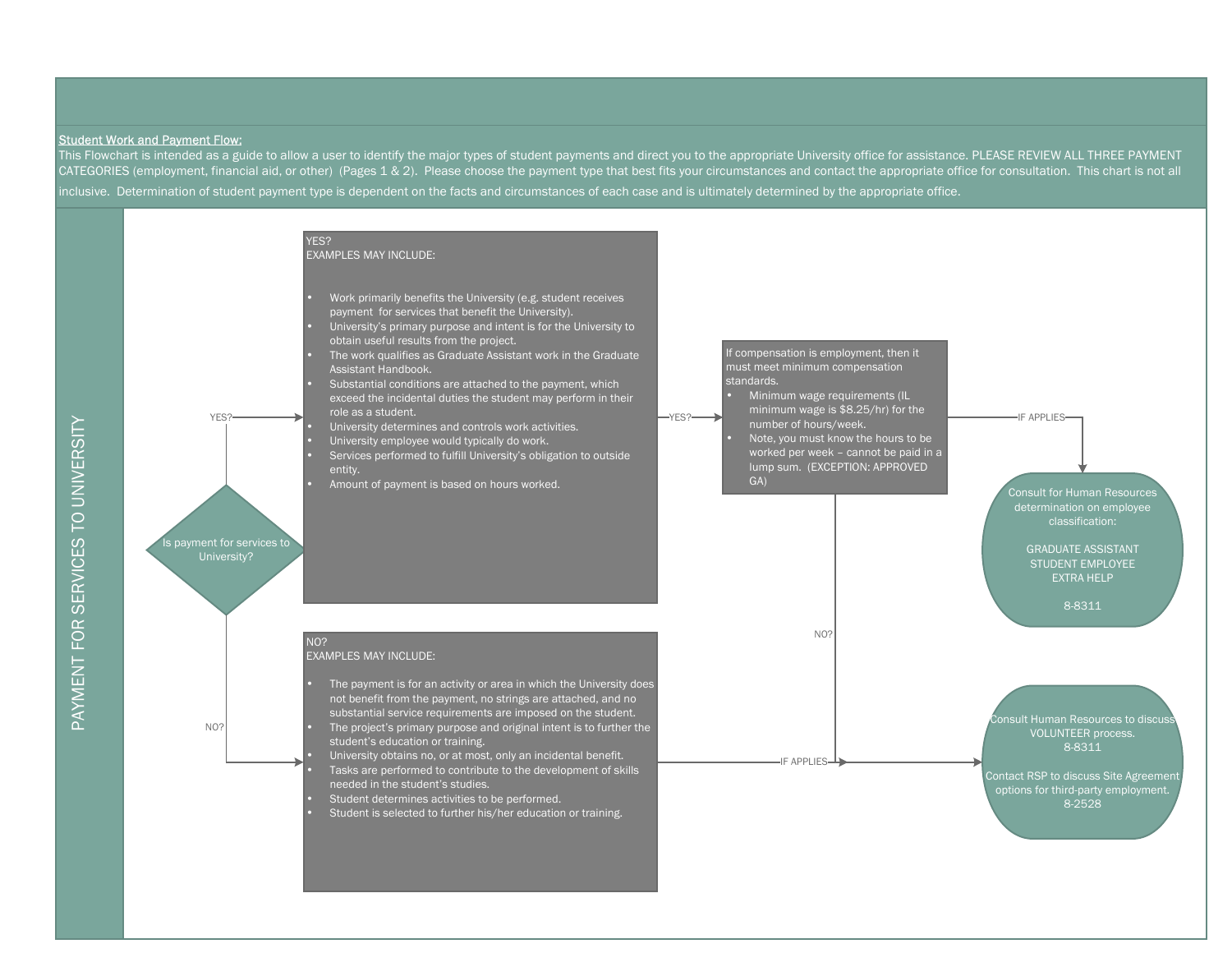## Student Work and Payment Flow:

This Flowchart is intended as a guide to allow a user to identify the major types of student payments and direct you to the appropriate University office for assistance. PLEASE REVIEW ALL THREE PAYMENT CATEGORIES (employment, financial aid, or other) (Pages 1 & 2). Please choose the payment type that best fits your circumstances and contact the appropriate office for consultation. This chart is not all inclusive. Determination of student payment type is dependent on the facts and circumstances of each case and is ultimately determined by the appropriate office.